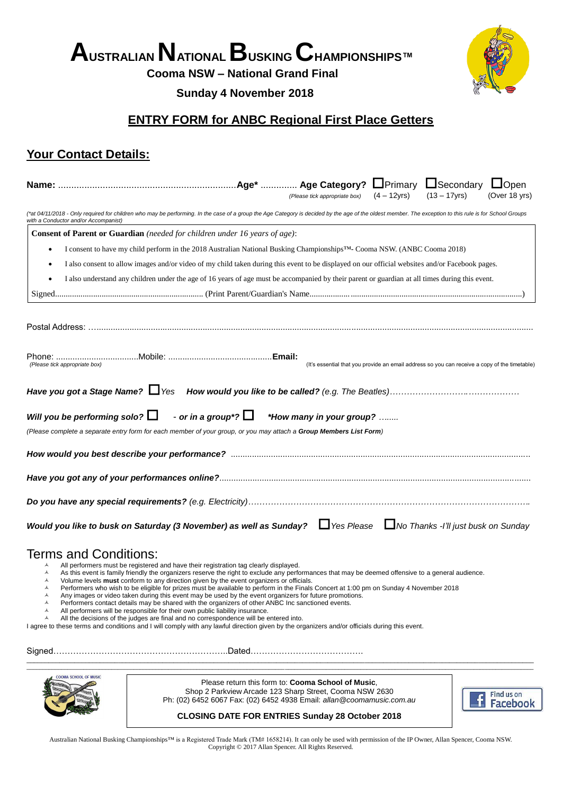# **AUSTRALIAN NATIONAL BUSKING CHAMPIONSHIPS™**

**Cooma NSW – National Grand Final**

### **Sunday 4 November 2018**



# **ENTRY FORM for ANBC Regional First Place Getters**

## **Your Contact Details:**

|                                                                                                                                                 |                                                                                                                                                                                                                                                                                                                                                                                                                                                                                                                                                                                                                                                                                                                                                                                                                                                                                                                                                                                                                               | (Please tick appropriate box) $(4-12yrs)$                                                     |  | $(13 - 17yrs)$ |                               | (Over 18 yrs) |  |
|-------------------------------------------------------------------------------------------------------------------------------------------------|-------------------------------------------------------------------------------------------------------------------------------------------------------------------------------------------------------------------------------------------------------------------------------------------------------------------------------------------------------------------------------------------------------------------------------------------------------------------------------------------------------------------------------------------------------------------------------------------------------------------------------------------------------------------------------------------------------------------------------------------------------------------------------------------------------------------------------------------------------------------------------------------------------------------------------------------------------------------------------------------------------------------------------|-----------------------------------------------------------------------------------------------|--|----------------|-------------------------------|---------------|--|
| with a Conductor and/or Accompanist)                                                                                                            | (*at 04/11/2018 - Only required for children who may be performing. In the case of a group the Age Category is decided by the age of the oldest member. The exception to this rule is for School Groups                                                                                                                                                                                                                                                                                                                                                                                                                                                                                                                                                                                                                                                                                                                                                                                                                       |                                                                                               |  |                |                               |               |  |
|                                                                                                                                                 | <b>Consent of Parent or Guardian</b> (needed for children under 16 years of age):                                                                                                                                                                                                                                                                                                                                                                                                                                                                                                                                                                                                                                                                                                                                                                                                                                                                                                                                             |                                                                                               |  |                |                               |               |  |
| I consent to have my child perform in the 2018 Australian National Busking Championships™- Cooma NSW. (ANBC Cooma 2018)                         |                                                                                                                                                                                                                                                                                                                                                                                                                                                                                                                                                                                                                                                                                                                                                                                                                                                                                                                                                                                                                               |                                                                                               |  |                |                               |               |  |
|                                                                                                                                                 | I also consent to allow images and/or video of my child taken during this event to be displayed on our official websites and/or Facebook pages.                                                                                                                                                                                                                                                                                                                                                                                                                                                                                                                                                                                                                                                                                                                                                                                                                                                                               |                                                                                               |  |                |                               |               |  |
| I also understand any children under the age of 16 years of age must be accompanied by their parent or guardian at all times during this event. |                                                                                                                                                                                                                                                                                                                                                                                                                                                                                                                                                                                                                                                                                                                                                                                                                                                                                                                                                                                                                               |                                                                                               |  |                |                               |               |  |
|                                                                                                                                                 |                                                                                                                                                                                                                                                                                                                                                                                                                                                                                                                                                                                                                                                                                                                                                                                                                                                                                                                                                                                                                               |                                                                                               |  |                |                               |               |  |
|                                                                                                                                                 |                                                                                                                                                                                                                                                                                                                                                                                                                                                                                                                                                                                                                                                                                                                                                                                                                                                                                                                                                                                                                               |                                                                                               |  |                |                               |               |  |
| (Please tick appropriate box)                                                                                                                   |                                                                                                                                                                                                                                                                                                                                                                                                                                                                                                                                                                                                                                                                                                                                                                                                                                                                                                                                                                                                                               | (It's essential that you provide an email address so you can receive a copy of the timetable) |  |                |                               |               |  |
|                                                                                                                                                 |                                                                                                                                                                                                                                                                                                                                                                                                                                                                                                                                                                                                                                                                                                                                                                                                                                                                                                                                                                                                                               |                                                                                               |  |                |                               |               |  |
| Will you be performing solo? $\Box$                                                                                                             | - or in a group*? $\Box$ *How many in your group?                                                                                                                                                                                                                                                                                                                                                                                                                                                                                                                                                                                                                                                                                                                                                                                                                                                                                                                                                                             |                                                                                               |  |                |                               |               |  |
|                                                                                                                                                 | (Please complete a separate entry form for each member of your group, or you may attach a Group Members List Form)                                                                                                                                                                                                                                                                                                                                                                                                                                                                                                                                                                                                                                                                                                                                                                                                                                                                                                            |                                                                                               |  |                |                               |               |  |
|                                                                                                                                                 |                                                                                                                                                                                                                                                                                                                                                                                                                                                                                                                                                                                                                                                                                                                                                                                                                                                                                                                                                                                                                               |                                                                                               |  |                |                               |               |  |
|                                                                                                                                                 |                                                                                                                                                                                                                                                                                                                                                                                                                                                                                                                                                                                                                                                                                                                                                                                                                                                                                                                                                                                                                               |                                                                                               |  |                |                               |               |  |
|                                                                                                                                                 |                                                                                                                                                                                                                                                                                                                                                                                                                                                                                                                                                                                                                                                                                                                                                                                                                                                                                                                                                                                                                               |                                                                                               |  |                |                               |               |  |
|                                                                                                                                                 | Would you like to busk on Saturday (3 November) as well as Sunday? $\Box$ Yes Please $\Box$ No Thanks -I'll just busk on Sunday                                                                                                                                                                                                                                                                                                                                                                                                                                                                                                                                                                                                                                                                                                                                                                                                                                                                                               |                                                                                               |  |                |                               |               |  |
| <b>Terms and Conditions:</b><br>A<br>А<br>$\blacktriangle$<br>А<br>$\blacktriangle$<br>A<br>$\blacktriangle$<br>A                               | All performers must be registered and have their registration tag clearly displayed.<br>As this event is family friendly the organizers reserve the right to exclude any performances that may be deemed offensive to a general audience.<br>Volume levels <b>must</b> conform to any direction given by the event organizers or officials.<br>Performers who wish to be eligible for prizes must be available to perform in the Finals Concert at 1:00 pm on Sunday 4 November 2018<br>Any images or video taken during this event may be used by the event organizers for future promotions.<br>Performers contact details may be shared with the organizers of other ANBC Inc sanctioned events.<br>All performers will be responsible for their own public liability insurance.<br>All the decisions of the judges are final and no correspondence will be entered into.<br>I agree to these terms and conditions and I will comply with any lawful direction given by the organizers and/or officials during this event. |                                                                                               |  |                |                               |               |  |
|                                                                                                                                                 |                                                                                                                                                                                                                                                                                                                                                                                                                                                                                                                                                                                                                                                                                                                                                                                                                                                                                                                                                                                                                               |                                                                                               |  |                |                               |               |  |
| COOMA SCHOOL OF MUSIC                                                                                                                           | Please return this form to: Cooma School of Music,<br>Shop 2 Parkview Arcade 123 Sharp Street, Cooma NSW 2630<br>Ph: (02) 6452 6067 Fax: (02) 6452 4938 Email: allan@coomamusic.com.au                                                                                                                                                                                                                                                                                                                                                                                                                                                                                                                                                                                                                                                                                                                                                                                                                                        |                                                                                               |  |                | Find us on<br><b>Facebook</b> |               |  |
|                                                                                                                                                 | <b>CLOSING DATE FOR ENTRIES Sunday 28 October 2018</b>                                                                                                                                                                                                                                                                                                                                                                                                                                                                                                                                                                                                                                                                                                                                                                                                                                                                                                                                                                        |                                                                                               |  |                |                               |               |  |

Australian National Busking Championships™ is a Registered Trade Mark (TM# 1658214). It can only be used with permission of the IP Owner, Allan Spencer, Cooma NSW. Copyright © 2017 Allan Spencer. All Rights Reserved.